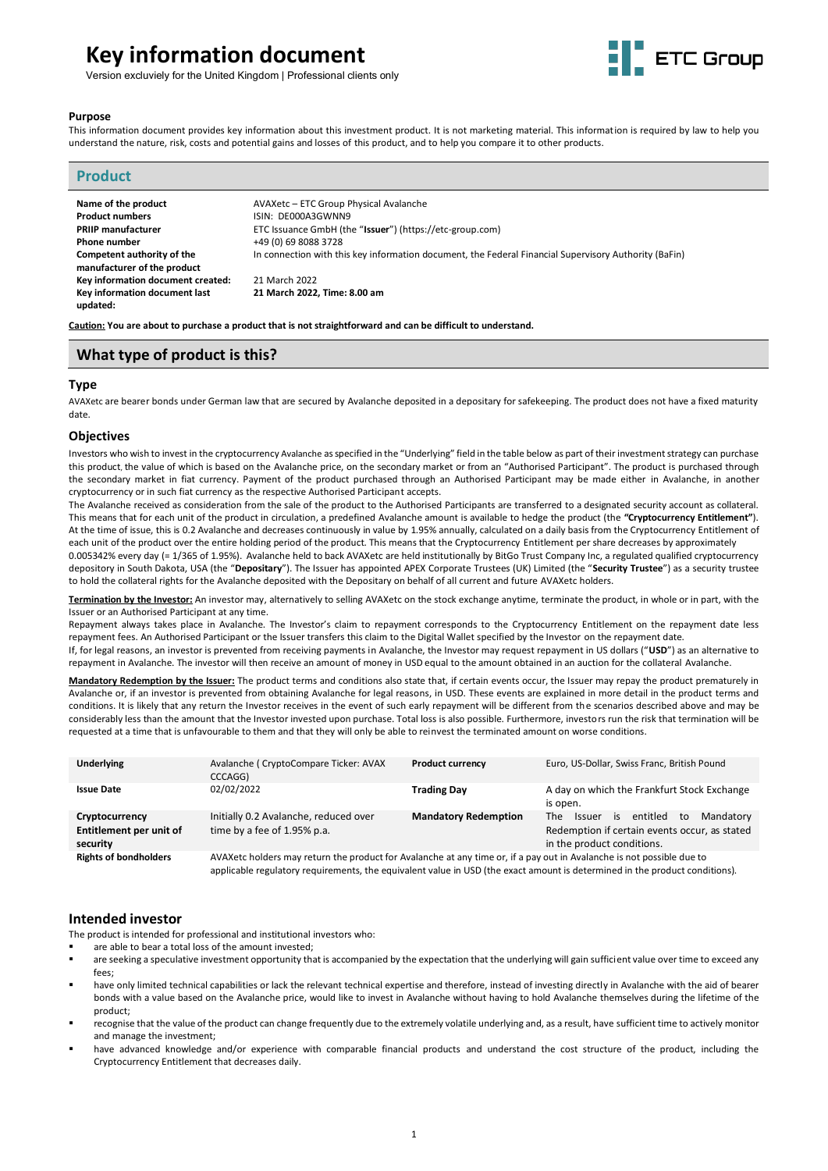# **Key information document**



Version excluviely for the United Kingdom | Professional clients only

#### **Purpose**

This information document provides key information about this investment product. It is not marketing material. This information is required by law to help you understand the nature, risk, costs and potential gains and losses of this product, and to help you compare it to other products.

| <b>Product</b>                            |                                                                                                       |
|-------------------------------------------|-------------------------------------------------------------------------------------------------------|
| Name of the product                       | AVAXetc - ETC Group Physical Avalanche                                                                |
| <b>Product numbers</b>                    | ISIN: DE000A3GWNN9                                                                                    |
| <b>PRIIP manufacturer</b>                 | ETC Issuance GmbH (the "Issuer") (https://etc-group.com)                                              |
| <b>Phone number</b>                       | +49 (0) 69 8088 3728                                                                                  |
| Competent authority of the                | In connection with this key information document, the Federal Financial Supervisory Authority (BaFin) |
| manufacturer of the product               |                                                                                                       |
| Key information document created:         | 21 March 2022                                                                                         |
| Key information document last<br>updated: | 21 March 2022, Time: 8.00 am                                                                          |

**Caution: You are about to purchase a product that is not straightforward and can be difficult to understand.**

# **What type of product is this?**

#### **Type**

AVAXetc are bearer bonds under German law that are secured by Avalanche deposited in a depositary for safekeeping. The product does not have a fixed maturity date.

#### **Objectives**

Investors who wish to invest in the cryptocurrency Avalanche as specified in the "Underlying" field in the table below as part of their investment strategy can purchase this product, the value of which is based on the Avalanche price, on the secondary market or from an "Authorised Participant". The product is purchased through the secondary market in fiat currency. Payment of the product purchased through an Authorised Participant may be made either in Avalanche, in another cryptocurrency or in such fiat currency as the respective Authorised Participant accepts.

The Avalanche received as consideration from the sale of the product to the Authorised Participants are transferred to a designated security account as collateral. This means that for each unit of the product in circulation, a predefined Avalanche amount is available to hedge the product (the **"Cryptocurrency Entitlement"**). At the time of issue, this is 0.2 Avalanche and decreases continuously in value by 1.95% annually, calculated on a daily basis from the Cryptocurrency Entitlement of each unit of the product over the entire holding period of the product. This means that the Cryptocurrency Entitlement per share decreases by approximately 0.005342% every day (= 1/365 of 1.95%). Avalanche held to back AVAXetc are held institutionally by BitGo Trust Company Inc, a regulated qualified cryptocurrency depository in South Dakota, USA (the "**Depositary**"). The Issuer has appointed APEX Corporate Trustees (UK) Limited (the "**Security Trustee**") as a security trustee to hold the collateral rights for the Avalanche deposited with the Depositary on behalf of all current and future AVAXetc holders.

**Termination by the Investor:** An investor may, alternatively to selling AVAXetc on the stock exchange anytime, terminate the product, in whole or in part, with the Issuer or an Authorised Participant at any time.

Repayment always takes place in Avalanche. The Investor's claim to repayment corresponds to the Cryptocurrency Entitlement on the repayment date less repayment fees. An Authorised Participant or the Issuer transfers this claim to the Digital Wallet specified by the Investor on the repayment date.

If, for legal reasons, an investor is prevented from receiving payments in Avalanche, the Investor may request repayment in US dollars ("**USD**") as an alternative to repayment in Avalanche. The investor will then receive an amount of money in USD equal to the amount obtained in an auction for the collateral Avalanche.

**Mandatory Redemption by the Issuer:** The product terms and conditions also state that, if certain events occur, the Issuer may repay the product prematurely in Avalanche or, if an investor is prevented from obtaining Avalanche for legal reasons, in USD. These events are explained in more detail in the product terms and conditions. It is likely that any return the Investor receives in the event of such early repayment will be different from the scenarios described above and may be considerably less than the amount that the Investor invested upon purchase. Total loss is also possible. Furthermore, investors run the risk that termination will be requested at a time that is unfavourable to them and that they will only be able to reinvest the terminated amount on worse conditions.

| Underlying                                            | Avalanche (CryptoCompare Ticker: AVAX<br>CCCAGG)                                                                                                                                                                                                     | <b>Product currency</b>     | Euro, US-Dollar, Swiss Franc, British Pound                                                                                        |
|-------------------------------------------------------|------------------------------------------------------------------------------------------------------------------------------------------------------------------------------------------------------------------------------------------------------|-----------------------------|------------------------------------------------------------------------------------------------------------------------------------|
| <b>Issue Date</b>                                     | 02/02/2022                                                                                                                                                                                                                                           | <b>Trading Day</b>          | A day on which the Frankfurt Stock Exchange<br>is open.                                                                            |
| Cryptocurrency<br>Entitlement per unit of<br>security | Initially 0.2 Avalanche, reduced over<br>time by a fee of 1.95% p.a.                                                                                                                                                                                 | <b>Mandatory Redemption</b> | entitled<br>Mandatory<br>is.<br>to<br>The<br>Issuer<br>Redemption if certain events occur, as stated<br>in the product conditions. |
| <b>Rights of bondholders</b>                          | AVAXetc holders may return the product for Avalanche at any time or, if a pay out in Avalanche is not possible due to<br>applicable regulatory requirements, the equivalent value in USD (the exact amount is determined in the product conditions). |                             |                                                                                                                                    |

## **Intended investor**

The product is intended for professional and institutional investors who:

- are able to bear a total loss of the amount invested;
- are seeking a speculative investment opportunity that is accompanied by the expectation that the underlying will gain sufficient value over time to exceed any fees;
- have only limited technical capabilities or lack the relevant technical expertise and therefore, instead of investing directly in Avalanche with the aid of bearer bonds with a value based on the Avalanche price, would like to invest in Avalanche without having to hold Avalanche themselves during the lifetime of the product;
- recognise that the value of the product can change frequently due to the extremely volatile underlying and, as a result, have sufficient time to actively monitor and manage the investment;
- have advanced knowledge and/or experience with comparable financial products and understand the cost structure of the product, including the Cryptocurrency Entitlement that decreases daily.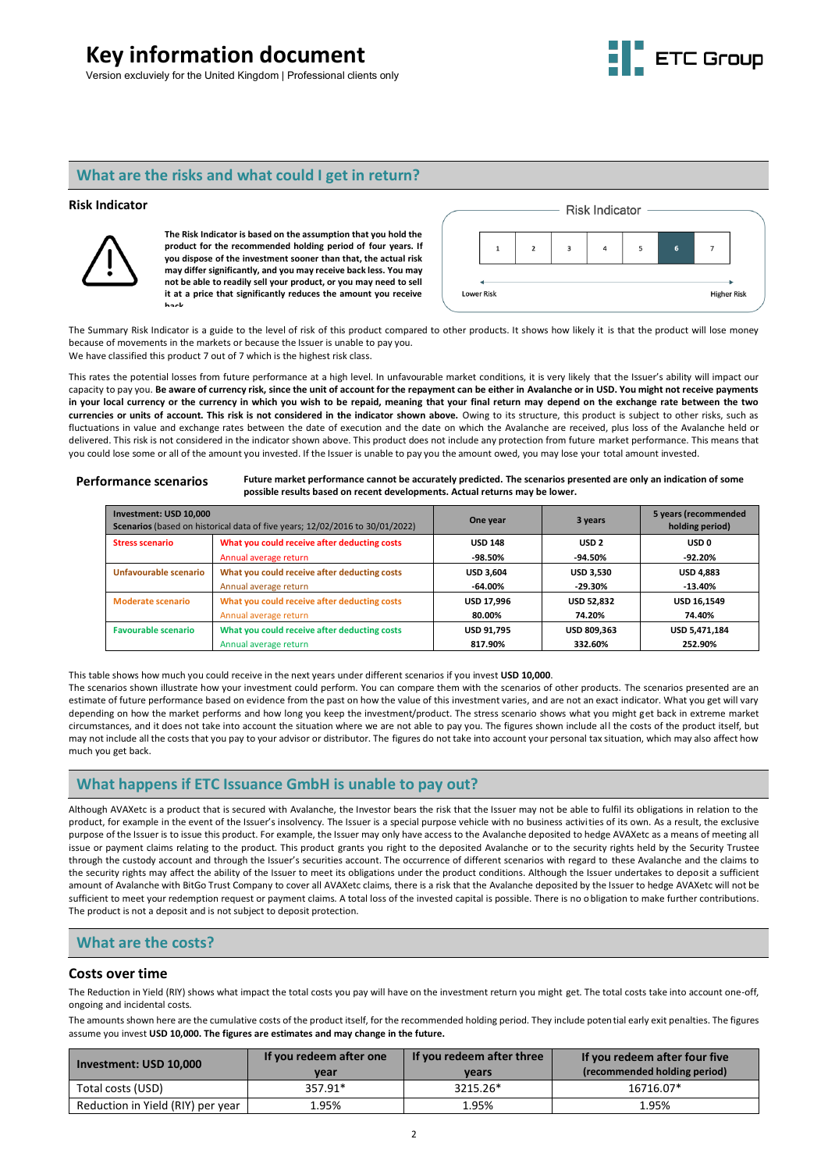# **Key information document**





# **What are the risks and what could I get in return?**

#### **Risk Indicator**



**The Risk Indicator is based on the assumption that you hold the product for the recommended holding period of four years. If you dispose of the investment sooner than that, the actual risk may differ significantly, and you may receive back less. You may not be able to readily sell your product, or you may need to sell it at a price that significantly reduces the amount you receive back.**



The Summary Risk Indicator is a guide to the level of risk of this product compared to other products. It shows how likely it is that the product will lose money because of movements in the markets or because the Issuer is unable to pay you. We have classified this product 7 out of 7 which is the highest risk class.

This rates the potential losses from future performance at a high level. In unfavourable market conditions, it is very likely that the Issuer's ability will impact our capacity to pay you. **Be aware of currency risk, since the unit of account for the repayment can be either in Avalanche or in USD. You might not receive payments in your local currency or the currency in which you wish to be repaid, meaning that your final return may depend on the exchange rate between the two currencies or units of account. This risk is not considered in the indicator shown above.** Owing to its structure, this product is subject to other risks, such as fluctuations in value and exchange rates between the date of execution and the date on which the Avalanche are received, plus loss of the Avalanche held or delivered. This risk is not considered in the indicator shown above. This product does not include any protection from future market performance. This means that you could lose some or all of the amount you invested. If the Issuer is unable to pay you the amount owed, you may lose your total amount invested.

**Performance scenarios Future market performance cannot be accurately predicted. The scenarios presented are only an indication of some possible results based on recent developments. Actual returns may be lower.**

| Investment: USD 10,000<br>Scenarios (based on historical data of five years; 12/02/2016 to 30/01/2022) |                                              | One year          | 3 years            | 5 years (recommended<br>holding period) |
|--------------------------------------------------------------------------------------------------------|----------------------------------------------|-------------------|--------------------|-----------------------------------------|
| <b>Stress scenario</b>                                                                                 | What you could receive after deducting costs | <b>USD 148</b>    | USD <sub>2</sub>   | USD 0                                   |
|                                                                                                        | Annual average return                        | $-98.50\%$        | -94.50%            | $-92.20%$                               |
| Unfavourable scenario                                                                                  | What you could receive after deducting costs | <b>USD 3.604</b>  | <b>USD 3.530</b>   | <b>USD 4.883</b>                        |
|                                                                                                        | Annual average return                        | $-64.00\%$        | $-29.30%$          | $-13.40%$                               |
| <b>Moderate scenario</b>                                                                               | What you could receive after deducting costs | <b>USD 17,996</b> | <b>USD 52.832</b>  | <b>USD 16,1549</b>                      |
|                                                                                                        | Annual average return                        | 80.00%            | 74.20%             | 74.40%                                  |
| <b>Favourable scenario</b>                                                                             | What you could receive after deducting costs | <b>USD 91.795</b> | <b>USD 809.363</b> | USD 5,471,184                           |
|                                                                                                        | Annual average return                        | 817.90%           | 332.60%            | 252.90%                                 |

This table shows how much you could receive in the next years under different scenarios if you invest **USD 10,000**.

The scenarios shown illustrate how your investment could perform. You can compare them with the scenarios of other products. The scenarios presented are an estimate of future performance based on evidence from the past on how the value of this investment varies, and are not an exact indicator. What you get will vary depending on how the market performs and how long you keep the investment/product. The stress scenario shows what you might get back in extreme market circumstances, and it does not take into account the situation where we are not able to pay you. The figures shown include all the costs of the product itself, but may not include all the costs that you pay to your advisor or distributor. The figures do not take into account your personal tax situation, which may also affect how much you get back.

# **What happens if ETC Issuance GmbH is unable to pay out?**

Although AVAXetc is a product that is secured with Avalanche, the Investor bears the risk that the Issuer may not be able to fulfil its obligations in relation to the product, for example in the event of the Issuer's insolvency. The Issuer is a special purpose vehicle with no business activities of its own. As a result, the exclusive purpose of the Issuer is to issue this product. For example, the Issuer may only have access to the Avalanche deposited to hedge AVAXetc as a means of meeting all issue or payment claims relating to the product. This product grants you right to the deposited Avalanche or to the security rights held by the Security Trustee through the custody account and through the Issuer's securities account. The occurrence of different scenarios with regard to these Avalanche and the claims to the security rights may affect the ability of the Issuer to meet its obligations under the product conditions. Although the Issuer undertakes to deposit a sufficient amount of Avalanche with BitGo Trust Company to cover all AVAXetc claims, there is a risk that the Avalanche deposited by the Issuer to hedge AVAXetc will not be sufficient to meet your redemption request or payment claims. A total loss of the invested capital is possible. There is no obligation to make further contributions. The product is not a deposit and is not subject to deposit protection.

## **What are the costs?**

### **Costs over time**

The Reduction in Yield (RIY) shows what impact the total costs you pay will have on the investment return you might get. The total costs take into account one-off, ongoing and incidental costs.

The amounts shown here are the cumulative costs of the product itself, for the recommended holding period. They include potential early exit penalties. The figures assume you invest **USD 10,000. The figures are estimates and may change in the future.**

| Investment: USD 10,000            | If you redeem after one<br>vear | If you redeem after three<br>vears | If you redeem after four five<br>(recommended holding period) |  |
|-----------------------------------|---------------------------------|------------------------------------|---------------------------------------------------------------|--|
| Total costs (USD)                 | 357.91*                         | 3215.26*                           | 16716.07*                                                     |  |
| Reduction in Yield (RIY) per year | '95%                            | 1.95%                              | 1.95%                                                         |  |